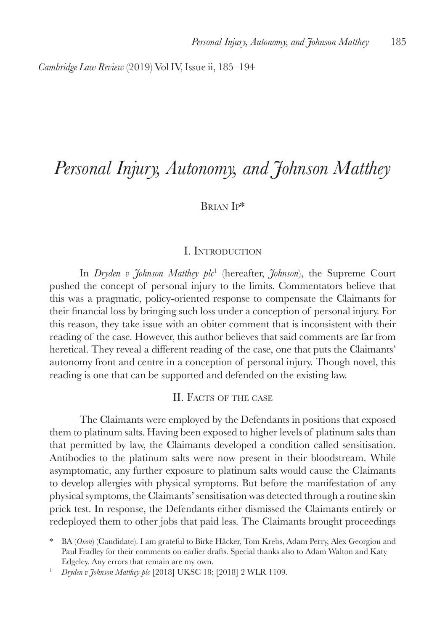*Cambridge Law Review* (2019) Vol IV, Issue ii, 185–194

# *Personal Injury, Autonomy, and Johnson Matthey*

# Brian Ip\*

#### I. Introduction

In *Dryden v Johnson Matthey plc*<sup>1</sup> (hereafter, *Johnson*), the Supreme Court pushed the concept of personal injury to the limits. Commentators believe that this was a pragmatic, policy-oriented response to compensate the Claimants for their financial loss by bringing such loss under a conception of personal injury. For this reason, they take issue with an obiter comment that is inconsistent with their reading of the case. However, this author believes that said comments are far from heretical. They reveal a different reading of the case, one that puts the Claimants' autonomy front and centre in a conception of personal injury. Though novel, this reading is one that can be supported and defended on the existing law.

#### II. Facts of the case

The Claimants were employed by the Defendants in positions that exposed them to platinum salts. Having been exposed to higher levels of platinum salts than that permitted by law, the Claimants developed a condition called sensitisation. Antibodies to the platinum salts were now present in their bloodstream. While asymptomatic, any further exposure to platinum salts would cause the Claimants to develop allergies with physical symptoms. But before the manifestation of any physical symptoms, the Claimants' sensitisation was detected through a routine skin prick test. In response, the Defendants either dismissed the Claimants entirely or redeployed them to other jobs that paid less. The Claimants brought proceedings

<sup>\*</sup> BA (*Oxon*) (Candidate). I am grateful to Birke Håcker, Tom Krebs, Adam Perry, Alex Georgiou and Paul Fradley for their comments on earlier drafts. Special thanks also to Adam Walton and Katy Edgeley. Any errors that remain are my own.

<sup>1</sup> *Dryden v Johnson Matthey plc* [2018] UKSC 18; [2018] 2 WLR 1109.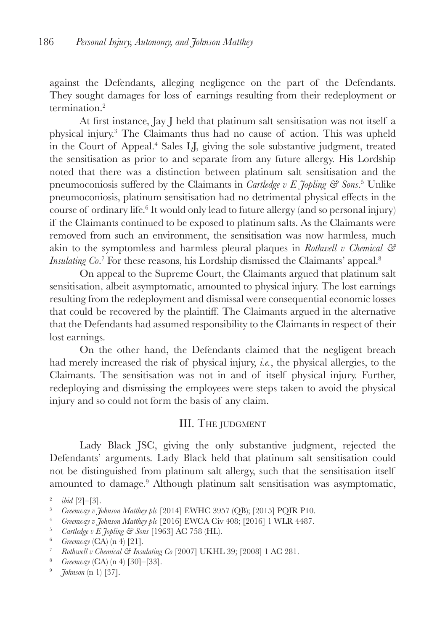against the Defendants, alleging negligence on the part of the Defendants. They sought damages for loss of earnings resulting from their redeployment or termination.2

At first instance, Jay J held that platinum salt sensitisation was not itself a physical injury.3 The Claimants thus had no cause of action. This was upheld in the Court of Appeal.4 Sales LJ, giving the sole substantive judgment, treated the sensitisation as prior to and separate from any future allergy. His Lordship noted that there was a distinction between platinum salt sensitisation and the pneumoconiosis suffered by the Claimants in *Cartledge v E Jopling & Sons*. <sup>5</sup> Unlike pneumoconiosis, platinum sensitisation had no detrimental physical effects in the course of ordinary life.<sup>6</sup> It would only lead to future allergy (and so personal injury) if the Claimants continued to be exposed to platinum salts. As the Claimants were removed from such an environment, the sensitisation was now harmless, much akin to the symptomless and harmless pleural plaques in *Rothwell v Chemical & Insulating Co.*<sup>7</sup> For these reasons, his Lordship dismissed the Claimants' appeal.<sup>8</sup>

On appeal to the Supreme Court, the Claimants argued that platinum salt sensitisation, albeit asymptomatic, amounted to physical injury. The lost earnings resulting from the redeployment and dismissal were consequential economic losses that could be recovered by the plaintiff. The Claimants argued in the alternative that the Defendants had assumed responsibility to the Claimants in respect of their lost earnings.

On the other hand, the Defendants claimed that the negligent breach had merely increased the risk of physical injury, *i.e.*, the physical allergies, to the Claimants. The sensitisation was not in and of itself physical injury. Further, redeploying and dismissing the employees were steps taken to avoid the physical injury and so could not form the basis of any claim.

## III. The judgment

Lady Black JSC, giving the only substantive judgment, rejected the Defendants' arguments. Lady Black held that platinum salt sensitisation could not be distinguished from platinum salt allergy, such that the sensitisation itself amounted to damage.<sup>9</sup> Although platinum salt sensitisation was asymptomatic,

<sup>&</sup>lt;sup>2</sup> *ibid* [2]–[3].<br><sup>3</sup> *Creenway n*  $\tilde{t}$ 

<sup>&</sup>lt;sup>3</sup> *Greenway v Johnson Matthey plc* [2014] EWHC 3957 (QB); [2015] PQIR P10.<br><sup>4</sup> *Greenway v Hohnson Matthey blc* [2016] EWCA Civ 408: [2016] 1 WLR 4487

<sup>4</sup> *Greenway v Johnson Matthey plc* [2016] EWCA Civ 408; [2016] 1 WLR 4487.

<sup>5</sup> *Cartledge v E Jopling & Sons* [1963] AC 758 (HL).

<sup>6</sup> *Greenway* (CA) (n 4) [21].

<sup>7</sup> *Rothwell v Chemical & Insulating Co* [2007] UKHL 39; [2008] 1 AC 281.

<sup>8</sup> *Greenway* (CA) (n 4) [30]–[33].

<sup>9</sup> *Johnson* (n 1) [37].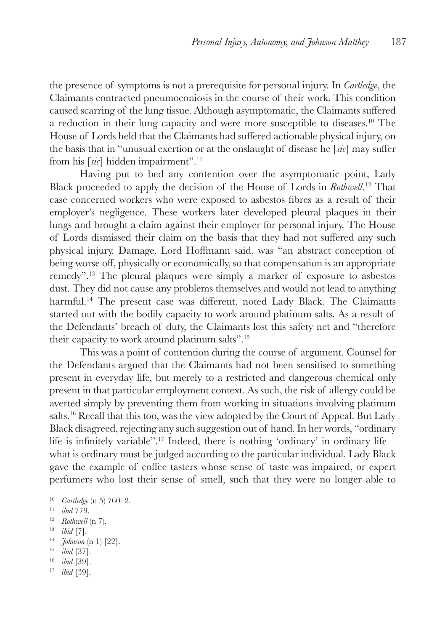the presence of symptoms is not a prerequisite for personal injury. In *Cartledge*, the Claimants contracted pneumoconiosis in the course of their work. This condition caused scarring of the lung tissue. Although asymptomatic, the Claimants suffered a reduction in their lung capacity and were more susceptible to diseases.10 The House of Lords held that the Claimants had suffered actionable physical injury, on the basis that in "unusual exertion or at the onslaught of disease he [*sic*] may suffer from his [*sic*] hidden impairment".11

Having put to bed any contention over the asymptomatic point, Lady Black proceeded to apply the decision of the House of Lords in *Rothwell*. 12 That case concerned workers who were exposed to asbestos fibres as a result of their employer's negligence. These workers later developed pleural plaques in their lungs and brought a claim against their employer for personal injury. The House of Lords dismissed their claim on the basis that they had not suffered any such physical injury. Damage, Lord Hoffmann said, was "an abstract conception of being worse off, physically or economically, so that compensation is an appropriate remedy".13 The pleural plaques were simply a marker of exposure to asbestos dust. They did not cause any problems themselves and would not lead to anything harmful.<sup>14</sup> The present case was different, noted Lady Black. The Claimants started out with the bodily capacity to work around platinum salts. As a result of the Defendants' breach of duty, the Claimants lost this safety net and "therefore their capacity to work around platinum salts".15

This was a point of contention during the course of argument. Counsel for the Defendants argued that the Claimants had not been sensitised to something present in everyday life, but merely to a restricted and dangerous chemical only present in that particular employment context. As such, the risk of allergy could be averted simply by preventing them from working in situations involving platinum salts.16 Recall that this too, was the view adopted by the Court of Appeal. But Lady Black disagreed, rejecting any such suggestion out of hand. In her words, "ordinary life is infinitely variable".<sup>17</sup> Indeed, there is nothing 'ordinary' in ordinary life – what is ordinary must be judged according to the particular individual. Lady Black gave the example of coffee tasters whose sense of taste was impaired, or expert perfumers who lost their sense of smell, such that they were no longer able to

- <sup>12</sup> *Rothwell* (n 7).
- <sup>13</sup> *ibid* [7].
- <sup>14</sup> *Johnson* (n 1) [22].
- <sup>15</sup> *ibid* [37].
- <sup>16</sup> *ibid* [39].
- <sup>17</sup> *ibid* [39].

<sup>10</sup> *Cartledge* (n 5) 760–2.

<sup>11</sup> *ibid* 779.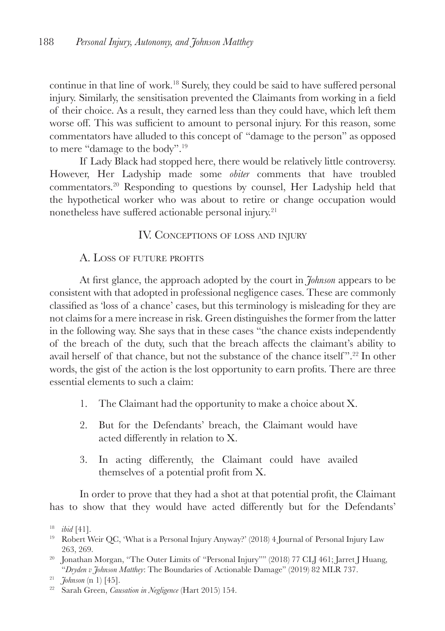continue in that line of work.18 Surely, they could be said to have suffered personal injury. Similarly, the sensitisation prevented the Claimants from working in a field of their choice. As a result, they earned less than they could have, which left them worse off. This was sufficient to amount to personal injury. For this reason, some commentators have alluded to this concept of "damage to the person" as opposed to mere "damage to the body".19

If Lady Black had stopped here, there would be relatively little controversy. However, Her Ladyship made some *obiter* comments that have troubled commentators.20 Responding to questions by counsel, Her Ladyship held that the hypothetical worker who was about to retire or change occupation would nonetheless have suffered actionable personal injury.<sup>21</sup>

## IV. Conceptions of loss and injury

# A. LOSS OF FUTURE PROFITS

At first glance, the approach adopted by the court in *Johnson* appears to be consistent with that adopted in professional negligence cases. These are commonly classified as 'loss of a chance' cases, but this terminology is misleading for they are not claims for a mere increase in risk. Green distinguishes the former from the latter in the following way. She says that in these cases "the chance exists independently of the breach of the duty, such that the breach affects the claimant's ability to avail herself of that chance, but not the substance of the chance itself ".22 In other words, the gist of the action is the lost opportunity to earn profits. There are three essential elements to such a claim:

- 1. The Claimant had the opportunity to make a choice about X.
- 2. But for the Defendants' breach, the Claimant would have acted differently in relation to X.
- 3. In acting differently, the Claimant could have availed themselves of a potential profit from X.

In order to prove that they had a shot at that potential profit, the Claimant has to show that they would have acted differently but for the Defendants'

- <sup>19</sup> Robert Weir QC, 'What is a Personal Injury Anyway?' (2018) 4 Journal of Personal Injury Law 263, 269.
- <sup>20</sup> Jonathan Morgan, "The Outer Limits of "Personal Injury"" (2018) 77 CLJ 461; Jarret J Huang, "*Dryden v Johnson Matthey*: The Boundaries of Actionable Damage" (2019) 82 MLR 737.

<sup>18</sup> *ibid* [41].

<sup>21</sup> *Johnson* (n 1) [45].

<sup>22</sup> Sarah Green, *Causation in Negligence* (Hart 2015) 154.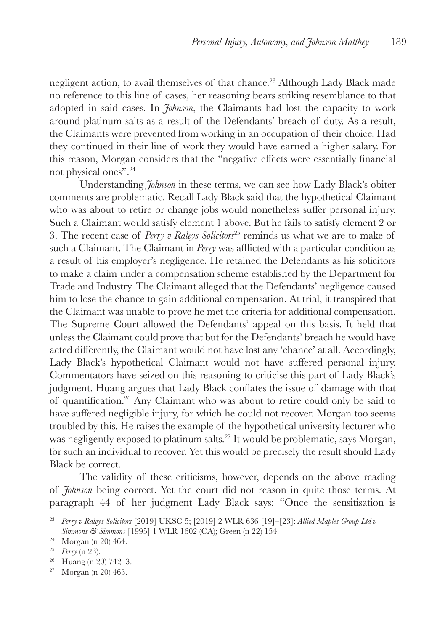negligent action, to avail themselves of that chance.23 Although Lady Black made no reference to this line of cases, her reasoning bears striking resemblance to that adopted in said cases. In *Johnson*, the Claimants had lost the capacity to work around platinum salts as a result of the Defendants' breach of duty. As a result, the Claimants were prevented from working in an occupation of their choice. Had they continued in their line of work they would have earned a higher salary. For this reason, Morgan considers that the "negative effects were essentially financial not physical ones".24

Understanding *Johnson* in these terms, we can see how Lady Black's obiter comments are problematic. Recall Lady Black said that the hypothetical Claimant who was about to retire or change jobs would nonetheless suffer personal injury. Such a Claimant would satisfy element 1 above. But he fails to satisfy element 2 or 3. The recent case of *Perry v Raleys Solicitors*25 reminds us what we are to make of such a Claimant. The Claimant in *Perry* was afflicted with a particular condition as a result of his employer's negligence. He retained the Defendants as his solicitors to make a claim under a compensation scheme established by the Department for Trade and Industry. The Claimant alleged that the Defendants' negligence caused him to lose the chance to gain additional compensation. At trial, it transpired that the Claimant was unable to prove he met the criteria for additional compensation. The Supreme Court allowed the Defendants' appeal on this basis. It held that unless the Claimant could prove that but for the Defendants' breach he would have acted differently, the Claimant would not have lost any 'chance' at all. Accordingly, Lady Black's hypothetical Claimant would not have suffered personal injury. Commentators have seized on this reasoning to criticise this part of Lady Black's judgment. Huang argues that Lady Black conflates the issue of damage with that of quantification.26 Any Claimant who was about to retire could only be said to have suffered negligible injury, for which he could not recover. Morgan too seems troubled by this. He raises the example of the hypothetical university lecturer who was negligently exposed to platinum salts.<sup>27</sup> It would be problematic, says Morgan, for such an individual to recover. Yet this would be precisely the result should Lady Black be correct.

The validity of these criticisms, however, depends on the above reading of *Johnson* being correct. Yet the court did not reason in quite those terms. At paragraph 44 of her judgment Lady Black says: "Once the sensitisation is

- $26$  Huang (n 20) 742-3.
- <sup>27</sup> Morgan (n 20) 463.

<sup>23</sup> *Perry v Raleys Solicitors* [2019] UKSC 5; [2019] 2 WLR 636 [19]–[23]; *Allied Maples Group Ltd v Simmons & Simmons* [1995] 1 WLR 1602 (CA); Green (n 22) 154.

<sup>24</sup> Morgan (n 20) 464.

<sup>25</sup> *Perry* (n 23).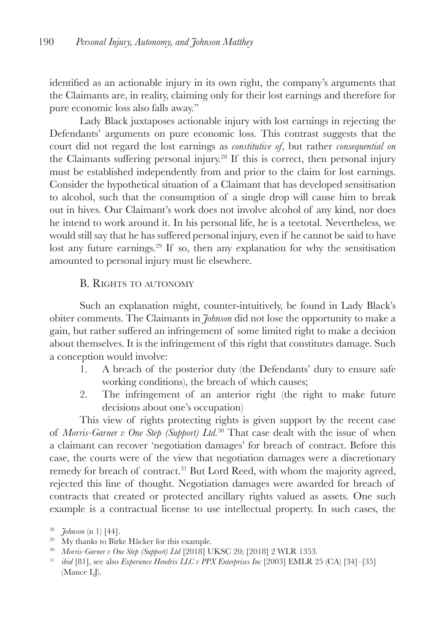identified as an actionable injury in its own right, the company's arguments that the Claimants are, in reality, claiming only for their lost earnings and therefore for pure economic loss also falls away."

Lady Black juxtaposes actionable injury with lost earnings in rejecting the Defendants' arguments on pure economic loss. This contrast suggests that the court did not regard the lost earnings as *constitutive of*, but rather *consequential on* the Claimants suffering personal injury.28 If this is correct, then personal injury must be established independently from and prior to the claim for lost earnings. Consider the hypothetical situation of a Claimant that has developed sensitisation to alcohol, such that the consumption of a single drop will cause him to break out in hives. Our Claimant's work does not involve alcohol of any kind, nor does he intend to work around it. In his personal life, he is a teetotal. Nevertheless, we would still say that he has suffered personal injury, even if he cannot be said to have lost any future earnings.<sup>29</sup> If so, then any explanation for why the sensitisation amounted to personal injury must lie elsewhere.

## B. Rights to autonomy

Such an explanation might, counter-intuitively, be found in Lady Black's obiter comments. The Claimants in *Johnson* did not lose the opportunity to make a gain, but rather suffered an infringement of some limited right to make a decision about themselves. It is the infringement of this right that constitutes damage. Such a conception would involve:

- 1. A breach of the posterior duty (the Defendants' duty to ensure safe working conditions), the breach of which causes;
- 2. The infringement of an anterior right (the right to make future decisions about one's occupation)

This view of rights protecting rights is given support by the recent case of *Morris-Garner v One Step (Support) Ltd.*30 That case dealt with the issue of when a claimant can recover 'negotiation damages' for breach of contract. Before this case, the courts were of the view that negotiation damages were a discretionary remedy for breach of contract.<sup>31</sup> But Lord Reed, with whom the majority agreed, rejected this line of thought. Negotiation damages were awarded for breach of contracts that created or protected ancillary rights valued as assets. One such example is a contractual license to use intellectual property. In such cases, the

<sup>28</sup> *Johnson* (n 1) [44].

<sup>&</sup>lt;sup>29</sup> My thanks to Birke Håcker for this example.

<sup>30</sup> *Morris-Garner v One Step (Support) Ltd* [2018] UKSC 20; [2018] 2 WLR 1353.

<sup>31</sup> *ibid* [81], see also *Experience Hendrix LLC v PPX Enterprises Inc* [2003] EMLR 25 (CA) [34]–[35] (Mance LJ).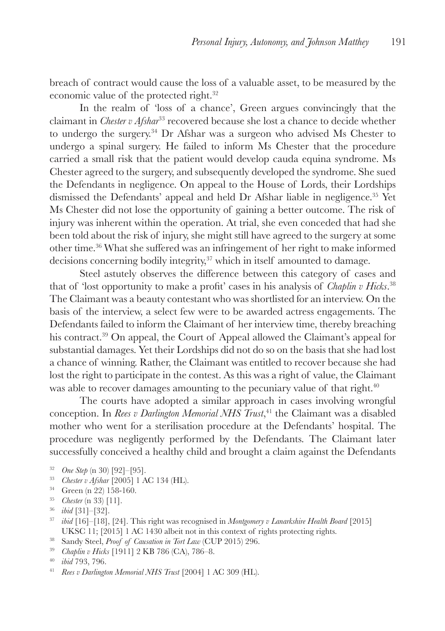breach of contract would cause the loss of a valuable asset, to be measured by the economic value of the protected right.32

In the realm of 'loss of a chance', Green argues convincingly that the claimant in *Chester v Afshar*33 recovered because she lost a chance to decide whether to undergo the surgery.34 Dr Afshar was a surgeon who advised Ms Chester to undergo a spinal surgery. He failed to inform Ms Chester that the procedure carried a small risk that the patient would develop cauda equina syndrome. Ms Chester agreed to the surgery, and subsequently developed the syndrome. She sued the Defendants in negligence. On appeal to the House of Lords, their Lordships dismissed the Defendants' appeal and held Dr Afshar liable in negligence.35 Yet Ms Chester did not lose the opportunity of gaining a better outcome. The risk of injury was inherent within the operation. At trial, she even conceded that had she been told about the risk of injury, she might still have agreed to the surgery at some other time.36 What she suffered was an infringement of her right to make informed decisions concerning bodily integrity,<sup>37</sup> which in itself amounted to damage.

Steel astutely observes the difference between this category of cases and that of 'lost opportunity to make a profit' cases in his analysis of *Chaplin v Hicks*. 38 The Claimant was a beauty contestant who was shortlisted for an interview. On the basis of the interview, a select few were to be awarded actress engagements. The Defendants failed to inform the Claimant of her interview time, thereby breaching his contract.<sup>39</sup> On appeal, the Court of Appeal allowed the Claimant's appeal for substantial damages. Yet their Lordships did not do so on the basis that she had lost a chance of winning. Rather, the Claimant was entitled to recover because she had lost the right to participate in the contest. As this was a right of value, the Claimant was able to recover damages amounting to the pecuniary value of that right.<sup>40</sup>

The courts have adopted a similar approach in cases involving wrongful conception. In *Rees v Darlington Memorial NHS Trust*, 41 the Claimant was a disabled mother who went for a sterilisation procedure at the Defendants' hospital. The procedure was negligently performed by the Defendants. The Claimant later successfully conceived a healthy child and brought a claim against the Defendants

- <sup>32</sup> *One Step* (n 30) [92]–[95].
- <sup>33</sup> *Chester v Afshar* [2005] 1 AC 134 (HL).
- <sup>34</sup> Green (n 22) 158-160.
- <sup>35</sup> *Chester* (n 33) [11].
- <sup>36</sup> *ibid* [31]–[32].
- <sup>37</sup> *ibid* [16]–[18], [24]. This right was recognised in *Montgomery v Lanarkshire Health Board* [2015] UKSC 11; [2015] 1 AC 1430 albeit not in this context of rights protecting rights.
- <sup>38</sup> Sandy Steel, *Proof of Causation in Tort Law* (CUP 2015) 296.
- <sup>39</sup> *Chaplin v Hicks* [1911] 2 KB 786 (CA), 786–8.

<sup>41</sup> *Rees v Darlington Memorial NHS Trust* [2004] 1 AC 309 (HL).

<sup>40</sup> *ibid* 793, 796.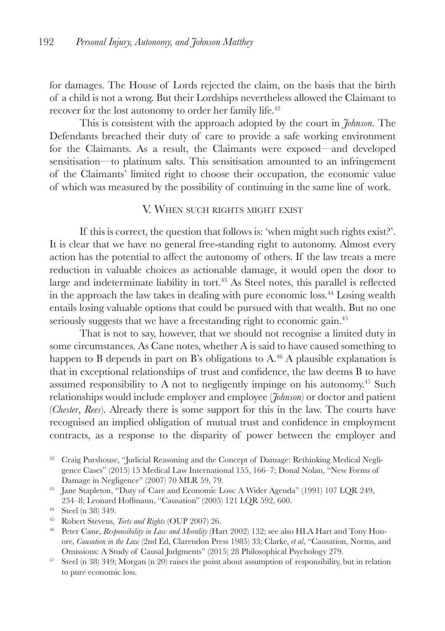for damages. The House of Lords rejected the claim, on the basis that the birth of a child is not a wrong. But their Lordships nevertheless allowed the Claimant to recover for the lost autonomy to order her family life.42

This is consistent with the approach adopted by the court in *Johnson*. The Defendants breached their duty of care to provide a safe working environment for the Claimants. As a result, the Claimants were exposed—and developed sensitisation—to platinum salts. This sensitisation amounted to an infringement of the Claimants' limited right to choose their occupation, the economic value of which was measured by the possibility of continuing in the same line of work.

#### V. When such rights might exist

If this is correct, the question that follows is: 'when might such rights exist?'. It is clear that we have no general free-standing right to autonomy. Almost every action has the potential to affect the autonomy of others. If the law treats a mere reduction in valuable choices as actionable damage, it would open the door to large and indeterminate liability in tort.<sup>43</sup> As Steel notes, this parallel is reflected in the approach the law takes in dealing with pure economic loss.44 Losing wealth entails losing valuable options that could be pursued with that wealth. But no one seriously suggests that we have a freestanding right to economic gain.<sup>45</sup>

That is not to say, however, that we should not recognise a limited duty in some circumstances. As Cane notes, whether A is said to have caused something to happen to B depends in part on B's obligations to  $A<sup>46</sup>$  A plausible explanation is that in exceptional relationships of trust and confidence, the law deems B to have assumed responsibility to A not to negligently impinge on his autonomy.47 Such relationships would include employer and employee (*Johnson*) or doctor and patient (*Chester*, *Rees*). Already there is some support for this in the law. The courts have recognised an implied obligation of mutual trust and confidence in employment contracts, as a response to the disparity of power between the employer and

<sup>&</sup>lt;sup>42</sup> Craig Purshouse, "Judicial Reasoning and the Concept of Damage: Rethinking Medical Negligence Cases" (2015) 15 Medical Law International 155, 166–7; Donal Nolan, "New Forms of Damage in Negligence" (2007) 70 MLR 59, 79.

<sup>43</sup> Jane Stapleton, "Duty of Care and Economic Loss: A Wider Agenda" (1991) 107 LQR 249, 254–8; Leonard Hoffmann, "Causation" (2005) 121 LQR 592, 600.

<sup>44</sup> Steel (n 38) 349.

<sup>45</sup> Robert Stevens, *Torts and Rights* (OUP 2007) 26.

<sup>46</sup> Peter Cane, *Responsibility in Law and Morality* (Hart 2002) 132; see also HLA Hart and Tony Honore, *Causation in the Law* (2nd Ed, Clarendon Press 1985) 33; Clarke, *et al*, "Causation, Norms, and Omissions: A Study of Causal Judgments" (2015) 28 Philosophical Psychology 279.

<sup>&</sup>lt;sup>47</sup> Steel (n 38) 349; Morgan (n 20) raises the point about assumption of responsibility, but in relation to pure economic loss.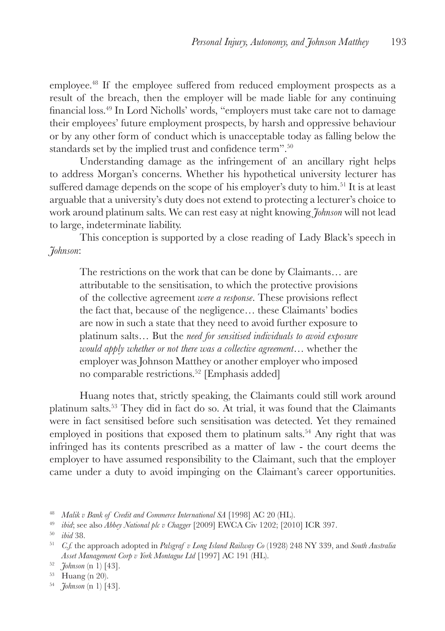employee.48 If the employee suffered from reduced employment prospects as a result of the breach, then the employer will be made liable for any continuing financial loss.<sup>49</sup> In Lord Nicholls' words, "employers must take care not to damage their employees' future employment prospects, by harsh and oppressive behaviour or by any other form of conduct which is unacceptable today as falling below the standards set by the implied trust and confidence term".<sup>50</sup>

Understanding damage as the infringement of an ancillary right helps to address Morgan's concerns. Whether his hypothetical university lecturer has suffered damage depends on the scope of his employer's duty to him.51 It is at least arguable that a university's duty does not extend to protecting a lecturer's choice to work around platinum salts. We can rest easy at night knowing *Johnson* will not lead to large, indeterminate liability.

This conception is supported by a close reading of Lady Black's speech in *Johnson*:

The restrictions on the work that can be done by Claimants… are attributable to the sensitisation, to which the protective provisions of the collective agreement *were a response*. These provisions reflect the fact that, because of the negligence… these Claimants' bodies are now in such a state that they need to avoid further exposure to platinum salts… But the *need for sensitised individuals to avoid exposure would apply whether or not there was a collective agreement*… whether the employer was Johnson Matthey or another employer who imposed no comparable restrictions.52 [Emphasis added]

Huang notes that, strictly speaking, the Claimants could still work around platinum salts.53 They did in fact do so. At trial, it was found that the Claimants were in fact sensitised before such sensitisation was detected. Yet they remained employed in positions that exposed them to platinum salts.<sup>54</sup> Any right that was infringed has its contents prescribed as a matter of law - the court deems the employer to have assumed responsibility to the Claimant, such that the employer came under a duty to avoid impinging on the Claimant's career opportunities.

<sup>48</sup> *Malik v Bank of Credit and Commerce International SA* [1998] AC 20 (HL).

<sup>49</sup> *ibid*; see also *Abbey National plc v Chagger* [2009] EWCA Civ 1202; [2010] ICR 397.

<sup>50</sup> *ibid* 38.

<sup>51</sup> *C.f.* the approach adopted in *Palsgraf v Long Island Railway Co* (1928) 248 NY 339, and *South Australia Asset Management Corp v York Montague Ltd* [1997] AC 191 (HL).

<sup>52</sup> *Johnson* (n 1) [43].

 $53$  Huang (n 20).

<sup>54</sup> *Johnson* (n 1) [43].